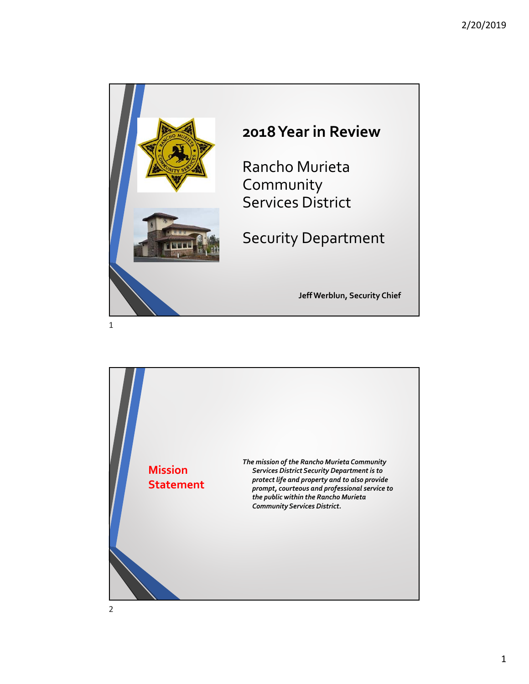

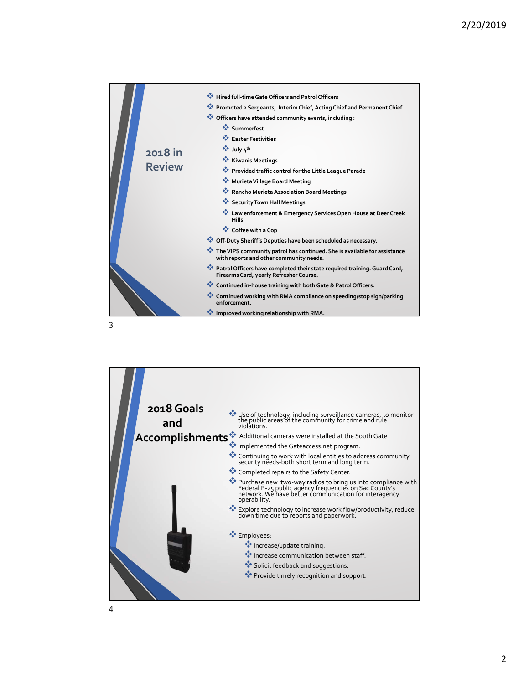

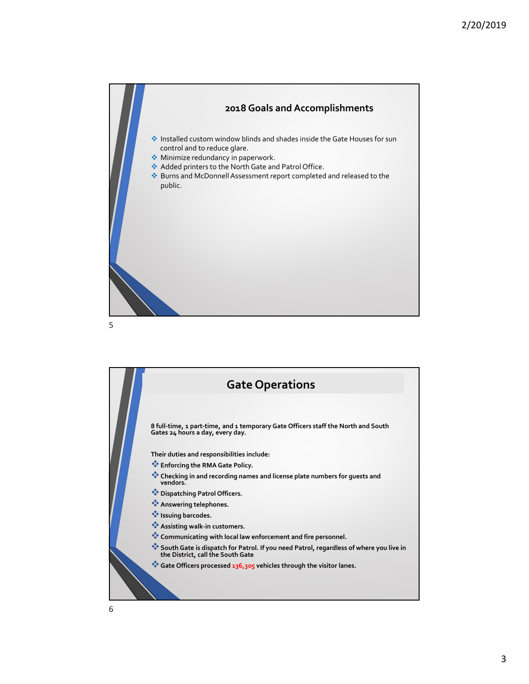



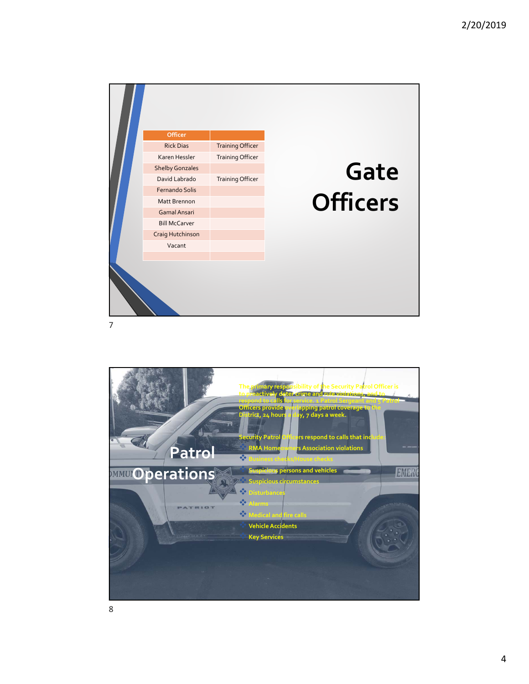

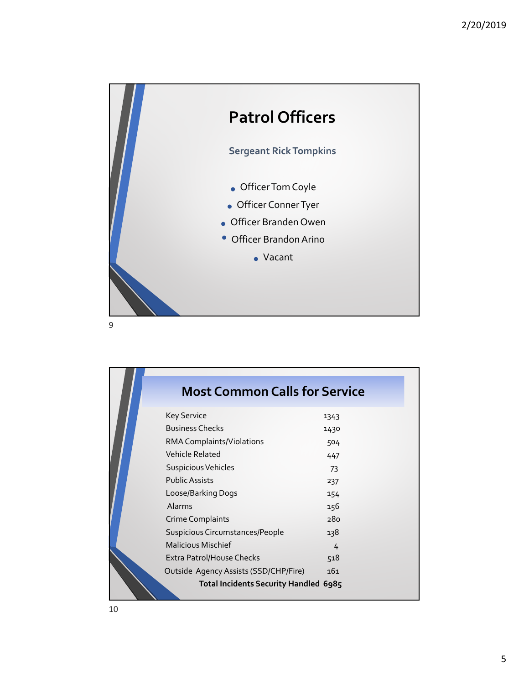

| <b>Most Common Calls for Service</b>  |      |
|---------------------------------------|------|
| <b>Key Service</b>                    | 1343 |
| <b>Business Checks</b>                | 1430 |
| RMA Complaints/Violations             | 504  |
| Vehicle Related                       | 447  |
| Suspicious Vehicles                   | 73   |
| <b>Public Assists</b>                 | 237  |
| Loose/Barking Dogs                    | 154  |
| Alarms                                | 156  |
| <b>Crime Complaints</b>               | 280  |
| Suspicious Circumstances/People       | 138  |
| <b>Malicious Mischief</b>             | 4    |
| Extra Patrol/House Checks             | 518  |
| Outside Agency Assists (SSD/CHP/Fire) | 161  |
| Total Incidents Security Handled 6985 |      |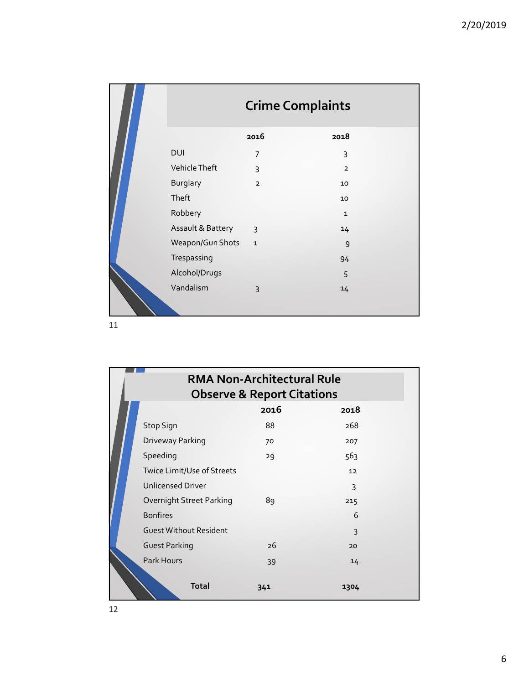|            | <b>Crime Complaints</b> |                |                |  |
|------------|-------------------------|----------------|----------------|--|
|            |                         | 2016           | 2018           |  |
|            | <b>DUI</b>              | $\overline{7}$ | 3              |  |
|            | Vehicle Theft           | 3              | $\overline{2}$ |  |
|            | <b>Burglary</b>         | $\overline{2}$ | 10             |  |
|            | Theft                   |                | 10             |  |
|            | Robbery                 |                | $\mathbf{1}$   |  |
| $\sqrt{2}$ | Assault & Battery       | $\overline{3}$ | 14             |  |
|            | Weapon/Gun Shots        | $\mathbf{1}$   | 9              |  |
|            | Trespassing             |                | 94             |  |
|            | Alcohol/Drugs           |                | 5              |  |
|            | Vandalism               | $\overline{3}$ | 14             |  |

| <b>RMA Non-Architectural Rule</b><br><b>Observe &amp; Report Citations</b> |      |              |  |  |  |
|----------------------------------------------------------------------------|------|--------------|--|--|--|
|                                                                            | 2016 | 2018         |  |  |  |
| Stop Sign                                                                  | 88   | 268          |  |  |  |
| Driveway Parking                                                           | 70   | 207          |  |  |  |
| Speeding                                                                   | 29   | 563          |  |  |  |
| Twice Limit/Use of Streets                                                 |      | 12           |  |  |  |
| <b>Unlicensed Driver</b>                                                   |      | 3            |  |  |  |
| Overnight Street Parking                                                   | 89   | 215          |  |  |  |
| <b>Bonfires</b>                                                            |      | 6            |  |  |  |
| <b>Guest Without Resident</b>                                              |      | $\mathbf{3}$ |  |  |  |
| <b>Guest Parking</b>                                                       | 26   | 20           |  |  |  |
| Park Hours                                                                 | 39   | 14           |  |  |  |
| <b>Total</b>                                                               | 341  | 1304         |  |  |  |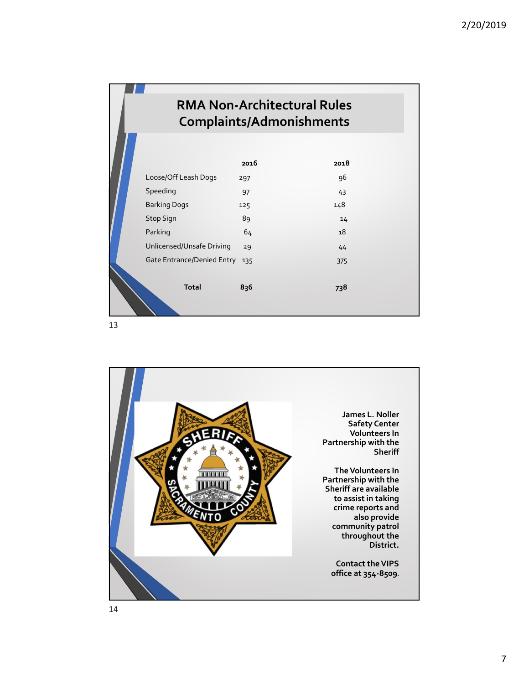| <b>RMA Non-Architectural Rules</b><br><b>Complaints/Admonishments</b> |      |      |  |  |  |
|-----------------------------------------------------------------------|------|------|--|--|--|
|                                                                       | 2016 | 2018 |  |  |  |
| Loose/Off Leash Dogs                                                  | 297  | 96   |  |  |  |
| Speeding                                                              | 97   | 43   |  |  |  |
| <b>Barking Dogs</b>                                                   | 125  | 148  |  |  |  |
| <b>Stop Sign</b>                                                      | 89   | 14   |  |  |  |
| Parking                                                               | 64   | 18   |  |  |  |
| Unlicensed/Unsafe Driving                                             | 29   | 44   |  |  |  |
| Gate Entrance/Denied Entry                                            | 135  | 375  |  |  |  |
| <b>Total</b>                                                          | 836  | 738  |  |  |  |

13

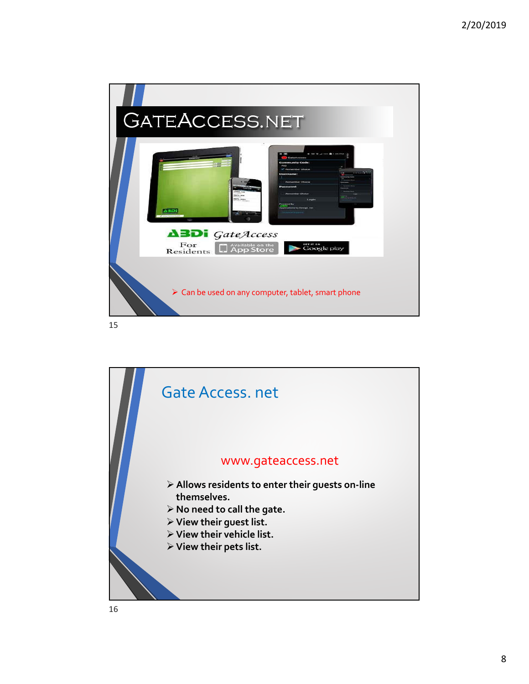